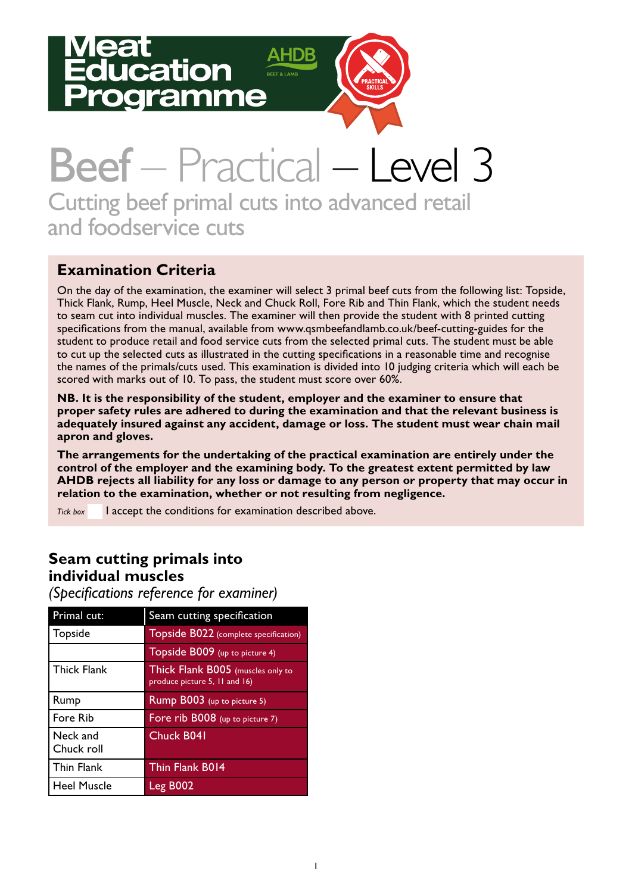# ation amme



# Beef – Practical – Level 3 Cutting beef primal cuts into advanced retail and foodservice cuts

### **Examination Criteria**

On the day of the examination, the examiner will select 3 primal beef cuts from the following list: Topside, Thick Flank, Rump, Heel Muscle, Neck and Chuck Roll, Fore Rib and Thin Flank, which the student needs to seam cut into individual muscles. The examiner will then provide the student with 8 printed cutting specifications from the manual, available from www.qsmbeefandlamb.co.uk/beef-cutting-guides for the student to produce retail and food service cuts from the selected primal cuts. The student must be able to cut up the selected cuts as illustrated in the cutting specifications in a reasonable time and recognise the names of the primals/cuts used. This examination is divided into 10 judging criteria which will each be scored with marks out of 10. To pass, the student must score over 60%.

**NB. It is the responsibility of the student, employer and the examiner to ensure that proper safety rules are adhered to during the examination and that the relevant business is adequately insured against any accident, damage or loss. The student must wear chain mail apron and gloves.** 

**The arrangements for the undertaking of the practical examination are entirely under the control of the employer and the examining body. To the greatest extent permitted by law AHDB rejects all liability for any loss or damage to any person or property that may occur in relation to the examination, whether or not resulting from negligence.**

*Tick box* I accept the conditions for examination described above.

#### **Seam cutting primals into individual muscles**

*(Specifications reference for examiner)*

| Primal cut:            | Seam cutting specification                                         |
|------------------------|--------------------------------------------------------------------|
| Topside                | Topside B022 (complete specification)                              |
|                        | Topside B009 (up to picture 4)                                     |
| <b>Thick Flank</b>     | Thick Flank B005 (muscles only to<br>produce picture 5, 11 and 16) |
| Rump                   | Rump B003 (up to picture 5)                                        |
| Fore Rib               | Fore rib B008 (up to picture 7)                                    |
| Neck and<br>Chuck roll | Chuck B041                                                         |
| <b>Thin Flank</b>      | Thin Flank B014                                                    |
| <b>Heel Muscle</b>     | Leg B002                                                           |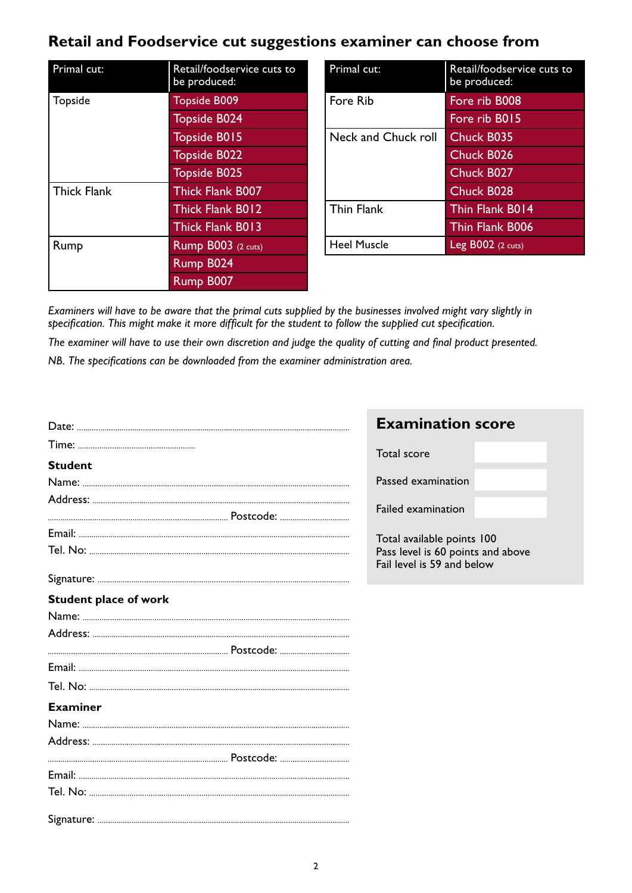## **Retail and Foodservice cut suggestions examiner can choose from**

| Primal cut:        | Retail/foodservice cuts to<br>be produced: |  |  |
|--------------------|--------------------------------------------|--|--|
| Topside            | <b>Topside B009</b>                        |  |  |
|                    | <b>Topside B024</b>                        |  |  |
|                    | <b>Topside B015</b>                        |  |  |
|                    | <b>Topside B022</b>                        |  |  |
|                    | <b>Topside B025</b>                        |  |  |
| <b>Thick Flank</b> | <b>Thick Flank B007</b>                    |  |  |
|                    | <b>Thick Flank B012</b>                    |  |  |
|                    | <b>Thick Flank B013</b>                    |  |  |
| Rump               | <b>Rump B003</b> (2 cuts)                  |  |  |
|                    | Rump B024                                  |  |  |
|                    | Rump B007                                  |  |  |

| Primal cut:         | Retail/foodservice cuts to<br>be produced: |  |  |  |
|---------------------|--------------------------------------------|--|--|--|
| Fore Rib            | Fore rib B008                              |  |  |  |
|                     | Fore rib B015                              |  |  |  |
| Neck and Chuck roll | Chuck B035                                 |  |  |  |
|                     | Chuck B026                                 |  |  |  |
|                     | Chuck B027                                 |  |  |  |
|                     | Chuck B028                                 |  |  |  |
| <b>Thin Flank</b>   | Thin Flank B014                            |  |  |  |
|                     | Thin Flank B006                            |  |  |  |
| <b>Heel Muscle</b>  | $Leg$ B002 (2 cuts)                        |  |  |  |

*Examiners will have to be aware that the primal cuts supplied by the businesses involved might vary slightly in specification. This might make it more difficult for the student to follow the supplied cut specification.*

*The examiner will have to use their own discretion and judge the quality of cutting and final product presented.* 

*NB. The specifications can be downloaded from the examiner administration area.* 

|                              | <b>Examination score</b>                                        |  |  |  |  |
|------------------------------|-----------------------------------------------------------------|--|--|--|--|
|                              | Total score                                                     |  |  |  |  |
| <b>Student</b>               |                                                                 |  |  |  |  |
|                              | Passed examination                                              |  |  |  |  |
|                              |                                                                 |  |  |  |  |
|                              | Failed examination                                              |  |  |  |  |
|                              | Total available points 100                                      |  |  |  |  |
|                              | Pass level is 60 points and above<br>Fail level is 59 and below |  |  |  |  |
|                              |                                                                 |  |  |  |  |
| <b>Student place of work</b> |                                                                 |  |  |  |  |
|                              |                                                                 |  |  |  |  |
|                              |                                                                 |  |  |  |  |
|                              |                                                                 |  |  |  |  |
|                              |                                                                 |  |  |  |  |
|                              |                                                                 |  |  |  |  |
| <b>Examiner</b>              |                                                                 |  |  |  |  |
|                              |                                                                 |  |  |  |  |
|                              |                                                                 |  |  |  |  |
|                              |                                                                 |  |  |  |  |
|                              |                                                                 |  |  |  |  |
|                              |                                                                 |  |  |  |  |
|                              |                                                                 |  |  |  |  |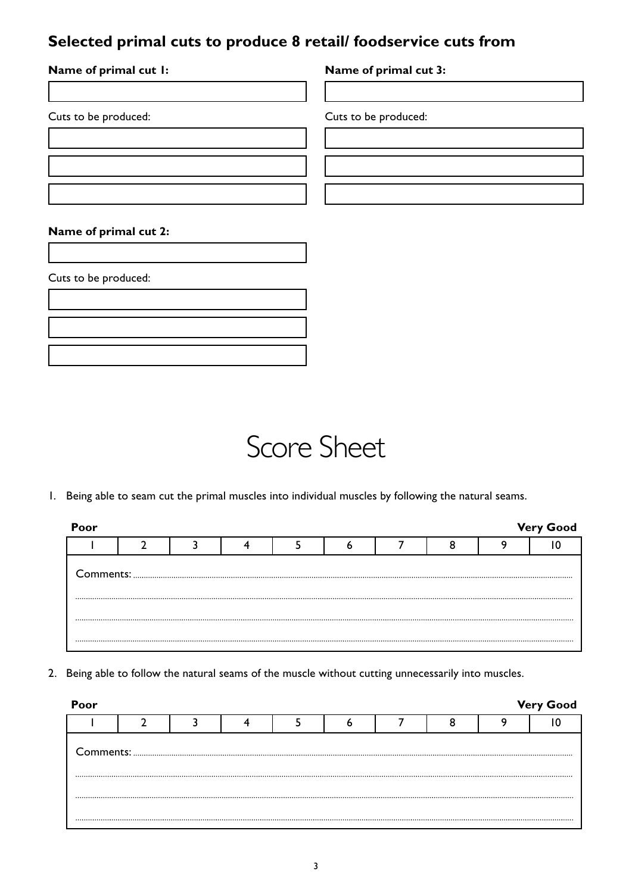#### **Selected primal cuts to produce 8 retail/ foodservice cuts from**

| Name of primal cut I: | Name of primal cut 3: |
|-----------------------|-----------------------|
|                       |                       |
| Cuts to be produced:  | Cuts to be produced:  |
|                       |                       |
|                       |                       |
|                       |                       |
| Name of primal cut 2: |                       |
|                       |                       |
| Cuts to be produced:  |                       |



1. Being able to seam cut the primal muscles into individual muscles by following the natural seams.

| Poor                                                                                                                                                                                                                                                                                                                                                     |  |  |  |  |  |  |  |  | <b>Very Good</b> |  |
|----------------------------------------------------------------------------------------------------------------------------------------------------------------------------------------------------------------------------------------------------------------------------------------------------------------------------------------------------------|--|--|--|--|--|--|--|--|------------------|--|
|                                                                                                                                                                                                                                                                                                                                                          |  |  |  |  |  |  |  |  |                  |  |
| ${\small \begin{minipage}{14cm} \begin{tabular}{ c c c c c } \hline \textbf{Comments:} & \textbf{3.000015} & \textbf{5.000015} & \textbf{6.000015} & \textbf{6.000015} & \textbf{6.000015} & \textbf{6.000015} & \textbf{6.000015} & \textbf{6.000015} & \textbf{6.000015} & \textbf{6.000015} & \textbf{6.000015} & \textbf{6.000015} & \textbf{6.0000$ |  |  |  |  |  |  |  |  |                  |  |
|                                                                                                                                                                                                                                                                                                                                                          |  |  |  |  |  |  |  |  |                  |  |
|                                                                                                                                                                                                                                                                                                                                                          |  |  |  |  |  |  |  |  |                  |  |

2. Being able to follow the natural seams of the muscle without cutting unnecessarily into muscles.

| Poor |  |  |  |  | <b>Very Good</b> |
|------|--|--|--|--|------------------|
|      |  |  |  |  |                  |
|      |  |  |  |  |                  |
|      |  |  |  |  |                  |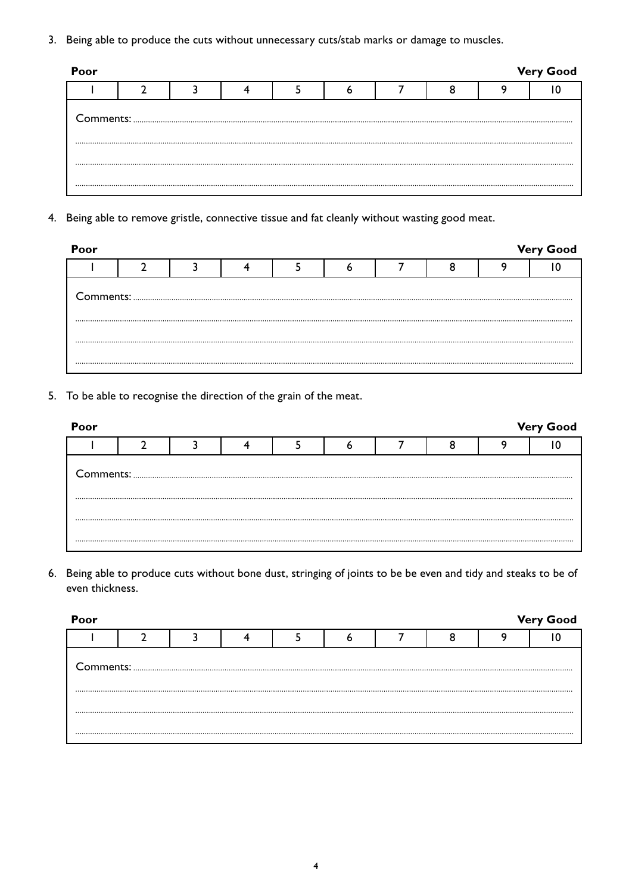3. Being able to produce the cuts without unnecessary cuts/stab marks or damage to muscles.

| <b>Very Good</b><br>Poor |  |  |  |  |  |  |  |  |  |  |
|--------------------------|--|--|--|--|--|--|--|--|--|--|
|                          |  |  |  |  |  |  |  |  |  |  |
|                          |  |  |  |  |  |  |  |  |  |  |
|                          |  |  |  |  |  |  |  |  |  |  |
|                          |  |  |  |  |  |  |  |  |  |  |
|                          |  |  |  |  |  |  |  |  |  |  |

4. Being able to remove gristle, connective tissue and fat cleanly without wasting good meat.

| Poor                                                                                                                                                                                                                                                                                                                                                                                                                                                                                              |  |  |  |  |  |  |  |  | <b>Very Good</b> |  |
|---------------------------------------------------------------------------------------------------------------------------------------------------------------------------------------------------------------------------------------------------------------------------------------------------------------------------------------------------------------------------------------------------------------------------------------------------------------------------------------------------|--|--|--|--|--|--|--|--|------------------|--|
|                                                                                                                                                                                                                                                                                                                                                                                                                                                                                                   |  |  |  |  |  |  |  |  |                  |  |
| ${\small \begin{minipage}{14cm} \begin{tabular}{ c c c c c } \hline \textbf{Comments:} & \textbf{\textit{3}} & \textbf{\textit{5}} & \textbf{\textit{6}} & \textbf{\textit{7}} & \textbf{\textit{8}} & \textbf{\textit{8}} & \textbf{\textit{9}} & \textbf{\textit{1}} & \textbf{\textit{1}} & \textbf{\textit{1}} & \textbf{\textit{1}} & \textbf{\textit{1}} & \textbf{\textit{1}} & \textbf{\textit{1}} & \textbf{\textit{1}} & \textbf{\textit{1}} & \textbf{\textit{1}} & \textbf{\textit{1$ |  |  |  |  |  |  |  |  |                  |  |
|                                                                                                                                                                                                                                                                                                                                                                                                                                                                                                   |  |  |  |  |  |  |  |  |                  |  |
|                                                                                                                                                                                                                                                                                                                                                                                                                                                                                                   |  |  |  |  |  |  |  |  |                  |  |
|                                                                                                                                                                                                                                                                                                                                                                                                                                                                                                   |  |  |  |  |  |  |  |  |                  |  |

5. To be able to recognise the direction of the grain of the meat.

| Poor |  |  |  |  | <b>Very Good</b> |
|------|--|--|--|--|------------------|
|      |  |  |  |  |                  |
|      |  |  |  |  |                  |
|      |  |  |  |  |                  |
|      |  |  |  |  |                  |

6. Being able to produce cuts without bone dust, stringing of joints to be be even and tidy and steaks to be of even thickness.

| Poor |                                                                                                   |  |  |  | <b>Very Good</b> |
|------|---------------------------------------------------------------------------------------------------|--|--|--|------------------|
|      |                                                                                                   |  |  |  |                  |
|      | ${\small \begin{minipage}{0.9\linewidth} \textbf{Comments:} \end{minipage}} \label{def:submodel}$ |  |  |  |                  |
|      |                                                                                                   |  |  |  |                  |
|      |                                                                                                   |  |  |  |                  |
|      |                                                                                                   |  |  |  |                  |